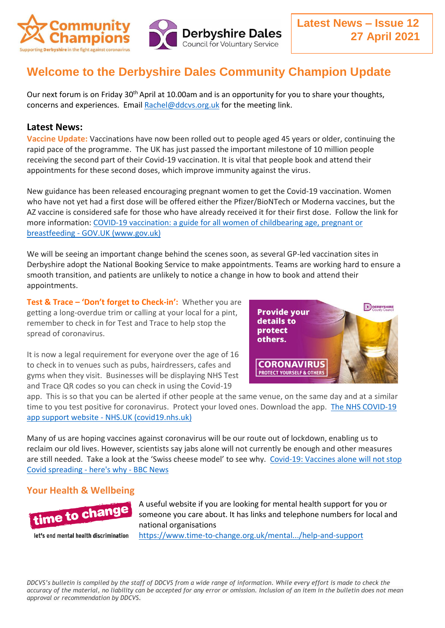

## **Welcome to the Derbyshire Dales Community Champion Update**

Our next forum is on Friday 30<sup>th</sup> April at 10.00am and is an opportunity for you to share your thoughts, concerns and experiences. Email [Rachel@ddcvs.org.uk](mailto:Rachel@ddcvs.org.uk) for the meeting link.

## **Latest News:**

**Vaccine Update:** Vaccinations have now been rolled out to people aged 45 years or older, continuing the rapid pace of the programme. The UK has just passed the important milestone of 10 million people receiving the second part of their Covid-19 vaccination. It is vital that people book and attend their appointments for these second doses, which improve immunity against the virus.

New guidance has been released encouraging pregnant women to get the Covid-19 vaccination. Women who have not yet had a first dose will be offered either the Pfizer/BioNTech or Moderna vaccines, but the AZ vaccine is considered safe for those who have already received it for their first dose. Follow the link for more information: [COVID-19 vaccination: a guide for all women of childbearing age, pregnant or](https://www.gov.uk/government/publications/covid-19-vaccination-women-of-childbearing-age-currently-pregnant-planning-a-pregnancy-or-breastfeeding/covid-19-vaccination-a-guide-for-women-of-childbearing-age-pregnant-planning-a-pregnancy-or-breastfeeding)  breastfeeding - [GOV.UK \(www.gov.uk\)](https://www.gov.uk/government/publications/covid-19-vaccination-women-of-childbearing-age-currently-pregnant-planning-a-pregnancy-or-breastfeeding/covid-19-vaccination-a-guide-for-women-of-childbearing-age-pregnant-planning-a-pregnancy-or-breastfeeding)

We will be seeing an important change behind the scenes soon, as several GP-led vaccination sites in Derbyshire adopt the National Booking Service to make appointments. Teams are working hard to ensure a smooth transition, and patients are unlikely to notice a change in how to book and attend their appointments.

**Test & Trace – 'Don't forget to Check-in':** Whether you are getting a long-overdue trim or calling at your local for a pint, remember to check in for Test and Trace to help stop the spread of coronavirus.

**D** DERBYSHIR **Provide your** details to protect others. **CORONAVIRUS PROTECT YOURSELF & OTHERS** 

It is now a legal requirement for everyone over the age of 16 to check in to venues such as pubs, hairdressers, cafes and gyms when they visit. Businesses will be displaying NHS Test and Trace QR codes so you can check in using the Covid-19

app. This is so that you can be alerted if other people at the same venue, on the same day and at a similar time to you test positive for coronavirus. Protect your loved ones. Download the app. [The NHS COVID-19](https://covid19.nhs.uk/)  app support website - [NHS.UK \(covid19.nhs.uk\)](https://covid19.nhs.uk/)

Many of us are hoping vaccines against coronavirus will be our route out of lockdown, enabling us to reclaim our old lives. However, scientists say jabs alone will not currently be enough and other measures are still needed. Take a look at the 'Swiss cheese model' to see why. [Covid-19: Vaccines alone will not stop](https://www.bbc.co.uk/news/resources/idt-40ac92b1-1750-4e86-9936-2cda6b0acb3f?fbclid=IwAR3A4QIjAJM2NjR1YivUr9-vrrnR9en8vmlv6zaUqAiOsQ7lRc_i3FdQ8-c)  [Covid spreading -](https://www.bbc.co.uk/news/resources/idt-40ac92b1-1750-4e86-9936-2cda6b0acb3f?fbclid=IwAR3A4QIjAJM2NjR1YivUr9-vrrnR9en8vmlv6zaUqAiOsQ7lRc_i3FdQ8-c) here's why - BBC News

## **Your Health & Wellbeing**



let's end mental health discrimination

A useful website if you are looking for mental health support for you or someone you care about. It has links and telephone numbers for local and national organisations

[https://www.time-to-change.org.uk/mental.../help-and-support](https://www.time-to-change.org.uk/mental-health-and-stigma/help-and-support?fbclid=IwAR31fb7ukgTwQ3r1-i2X38w0okZifV16n1k2KDoN1mB2-Xtl-Up7NTaOkJU)

*DDCVS's bulletin is compiled by the staff of DDCVS from a wide range of information. While every effort is made to check the accuracy of the material, no liability can be accepted for any error or omission. Inclusion of an item in the bulletin does not mean approval or recommendation by DDCVS.*